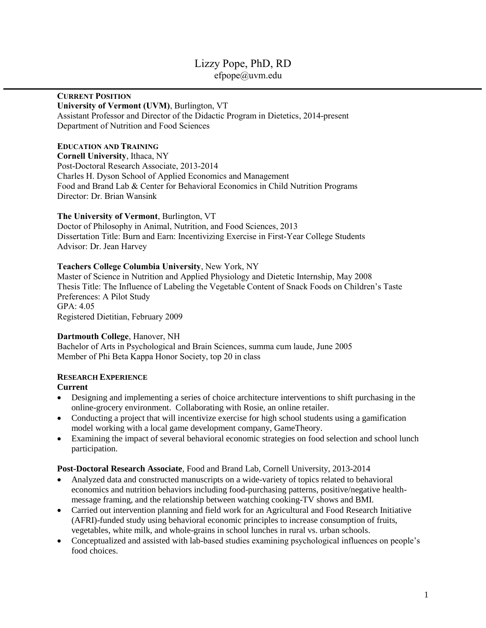# Lizzy Pope, PhD, RD [efpope@uvm.edu](mailto:epope@cornell.edu)

# **CURRENT POSITION**

#### **University of Vermont (UVM)**, Burlington, VT

Assistant Professor and Director of the Didactic Program in Dietetics, 2014-present Department of Nutrition and Food Sciences

## **EDUCATION AND TRAINING**

**Cornell University**, Ithaca, NY Post-Doctoral Research Associate, 2013-2014 Charles H. Dyson School of Applied Economics and Management Food and Brand Lab & Center for Behavioral Economics in Child Nutrition Programs Director: Dr. Brian Wansink

## **The University of Vermont**, Burlington, VT

Doctor of Philosophy in Animal, Nutrition, and Food Sciences, 2013 Dissertation Title: Burn and Earn: Incentivizing Exercise in First-Year College Students Advisor: Dr. Jean Harvey

## **Teachers College Columbia University**, New York, NY

Master of Science in Nutrition and Applied Physiology and Dietetic Internship, May 2008 Thesis Title: The Influence of Labeling the Vegetable Content of Snack Foods on Children's Taste Preferences: A Pilot Study GPA: 4.05 Registered Dietitian, February 2009

## **Dartmouth College**, Hanover, NH

Bachelor of Arts in Psychological and Brain Sciences, summa cum laude, June 2005 Member of Phi Beta Kappa Honor Society, top 20 in class

# **RESEARCH EXPERIENCE**

# **Current**

- Designing and implementing a series of choice architecture interventions to shift purchasing in the online-grocery environment. Collaborating with Rosie, an online retailer.
- Conducting a project that will incentivize exercise for high school students using a gamification model working with a local game development company, GameTheory.
- Examining the impact of several behavioral economic strategies on food selection and school lunch participation.

## **Post-Doctoral Research Associate**, Food and Brand Lab, Cornell University, 2013-2014

- Analyzed data and constructed manuscripts on a wide-variety of topics related to behavioral economics and nutrition behaviors including food-purchasing patterns, positive/negative healthmessage framing, and the relationship between watching cooking-TV shows and BMI.
- Carried out intervention planning and field work for an Agricultural and Food Research Initiative (AFRI)-funded study using behavioral economic principles to increase consumption of fruits, vegetables, white milk, and whole-grains in school lunches in rural vs. urban schools.
- Conceptualized and assisted with lab-based studies examining psychological influences on people's food choices.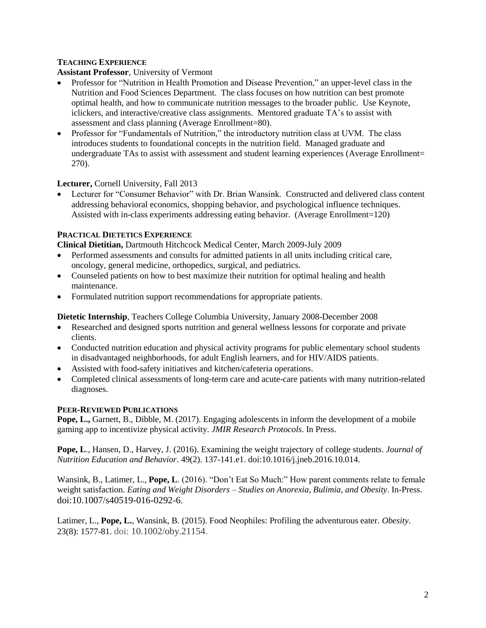# **TEACHING EXPERIENCE**

## **Assistant Professor**, University of Vermont

- Professor for "Nutrition in Health Promotion and Disease Prevention," an upper-level class in the Nutrition and Food Sciences Department. The class focuses on how nutrition can best promote optimal health, and how to communicate nutrition messages to the broader public. Use Keynote, iclickers, and interactive/creative class assignments. Mentored graduate TA's to assist with assessment and class planning (Average Enrollment=80).
- Professor for "Fundamentals of Nutrition," the introductory nutrition class at UVM. The class introduces students to foundational concepts in the nutrition field. Managed graduate and undergraduate TAs to assist with assessment and student learning experiences (Average Enrollment= 270).

## **Lecturer,** Cornell University, Fall 2013

 Lecturer for "Consumer Behavior" with Dr. Brian Wansink. Constructed and delivered class content addressing behavioral economics, shopping behavior, and psychological influence techniques. Assisted with in-class experiments addressing eating behavior. (Average Enrollment=120)

## **PRACTICAL DIETETICS EXPERIENCE**

**Clinical Dietitian,** Dartmouth Hitchcock Medical Center, March 2009-July 2009

- Performed assessments and consults for admitted patients in all units including critical care, oncology, general medicine, orthopedics, surgical, and pediatrics.
- Counseled patients on how to best maximize their nutrition for optimal healing and health maintenance.
- Formulated nutrition support recommendations for appropriate patients.

**Dietetic Internship**, Teachers College Columbia University, January 2008-December 2008

- Researched and designed sports nutrition and general wellness lessons for corporate and private clients.
- Conducted nutrition education and physical activity programs for public elementary school students in disadvantaged neighborhoods, for adult English learners, and for HIV/AIDS patients.
- Assisted with food-safety initiatives and kitchen/cafeteria operations.
- Completed clinical assessments of long-term care and acute-care patients with many nutrition-related diagnoses.

# **PEER-REVIEWED PUBLICATIONS**

**Pope, L.,** Garnett, B., Dibble, M. (2017). Engaging adolescents in inform the development of a mobile gaming app to incentivize physical activity. *JMIR Research Protocols*. In Press.

**Pope, L**., Hansen, D., Harvey, J. (2016). Examining the weight trajectory of college students. *Journal of Nutrition Education and Behavior*. 49(2). 137-141.e1[. doi:10.1016/j.jneb.2016.10.014.](http://dx.doi.org/10.1016/j.jneb.2016.10.014)

Wansink, B., Latimer, L., **Pope, L**. (2016). "Don't Eat So Much:" How parent comments relate to female weight satisfaction. *Eating and Weight Disorders – Studies on Anorexia, Bulimia, and Obesity*. In-Press. doi:10.1007/s40519-016-0292-6.

Latimer, L., **Pope, L.**, Wansink, B. (2015). Food Neophiles: Profiling the adventurous eater. *Obesity*. 23(8): 1577-81. doi: [10.1002/oby.21154.](https://doi.org/10.1002/oby.21154)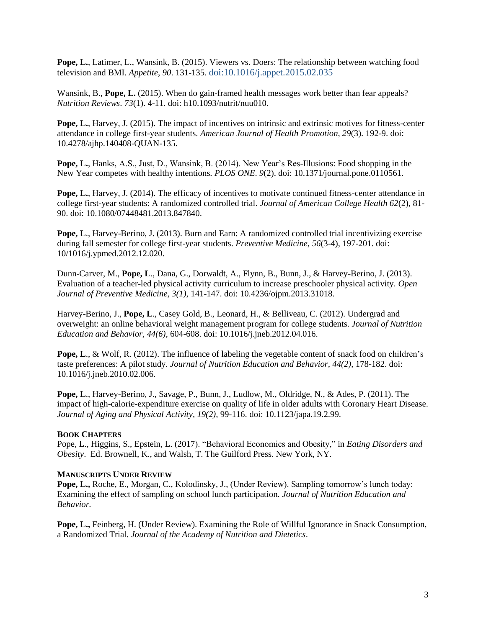**Pope, L.**, Latimer, L., Wansink, B. (2015). Viewers vs. Doers: The relationship between watching food television and BMI. *Appetite*, *90*. 131-135. doi:10.1016/j.appet.2015.02.035

Wansink, B., **Pope, L.** (2015). When do gain-framed health messages work better than fear appeals? *Nutrition Reviews*. *73*(1). 4-11. doi: h10.1093/nutrit/nuu010.

**Pope, L.**, Harvey, J. (2015). The impact of incentives on intrinsic and extrinsic motives for fitness-center attendance in college first-year students. *American Journal of Health Promotion*, *29*(3). 192-9. doi: 10.4278/ajhp.140408-QUAN-135.

**Pope, L.**, Hanks, A.S., Just, D., Wansink, B. (2014). New Year's Res-Illusions: Food shopping in the New Year competes with healthy intentions. *PLOS ONE*. *9*(2). doi: 10.1371/journal.pone.0110561.

**Pope, L.**, Harvey, J. (2014). The efficacy of incentives to motivate continued fitness-center attendance in college first-year students: A randomized controlled trial. *Journal of American College Health 62*(2), 81- 90. doi: 10.1080/07448481.2013.847840.

**Pope, L**., Harvey-Berino, J. (2013). Burn and Earn: A randomized controlled trial incentivizing exercise during fall semester for college first-year students. *Preventive Medicine, 56*(3-4), 197-201. doi: 10/1016/j.ypmed.2012.12.020.

Dunn-Carver, M., **Pope, L**., Dana, G., Dorwaldt, A., Flynn, B., Bunn, J., & Harvey-Berino, J. (2013). Evaluation of a teacher-led physical activity curriculum to increase preschooler physical activity. *Open Journal of Preventive Medicine, 3(1)*, 141-147. doi: 10.4236/ojpm.2013.31018.

Harvey-Berino, J., **Pope, L**., Casey Gold, B., Leonard, H., & Belliveau, C. (2012). Undergrad and overweight: an online behavioral weight management program for college students. *Journal of Nutrition Education and Behavior, 44(6)*, 604-608. doi: 10.1016/j.jneb.2012.04.016.

**Pope, L., & Wolf, R. (2012). The influence of labeling the vegetable content of snack food on children's** taste preferences: A pilot study. *Journal of Nutrition Education and Behavior, 44(2)*, 178-182. doi: 10.1016/j.jneb.2010.02.006.

**Pope, L**., Harvey-Berino, J., Savage, P., Bunn, J., Ludlow, M., Oldridge, N., & Ades, P. (2011). The impact of high-calorie-expenditure exercise on quality of life in older adults with Coronary Heart Disease. *Journal of Aging and Physical Activity, 19(2),* 99-116. doi: 10.1123/japa.19.2.99.

## **BOOK CHAPTERS**

Pope, L., Higgins, S., Epstein, L. (2017). "Behavioral Economics and Obesity," in *Eating Disorders and Obesity*. Ed. Brownell, K., and Walsh, T. The Guilford Press. New York, NY.

## **MANUSCRIPTS UNDER REVIEW**

**Pope, L.,** Roche, E., Morgan, C., Kolodinsky, J., (Under Review). Sampling tomorrow's lunch today: Examining the effect of sampling on school lunch participation. *Journal of Nutrition Education and Behavior.*

**Pope, L.,** Feinberg, H. (Under Review). Examining the Role of Willful Ignorance in Snack Consumption, a Randomized Trial. *Journal of the Academy of Nutrition and Dietetics*.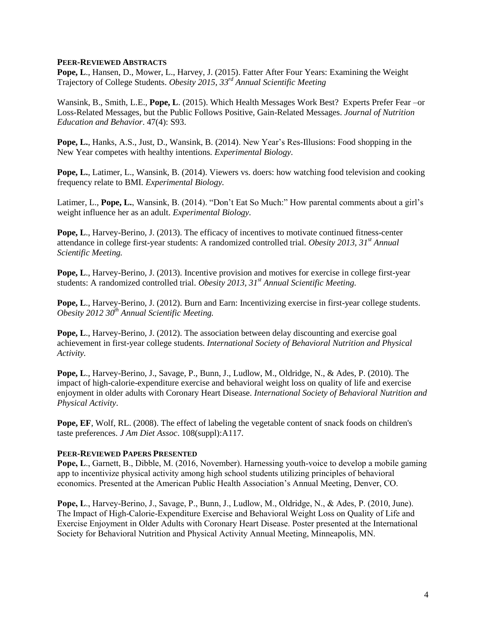#### **PEER-REVIEWED ABSTRACTS**

**Pope, L**., Hansen, D., Mower, L., Harvey, J. (2015). Fatter After Four Years: Examining the Weight Trajectory of College Students. *Obesity 2015, 33rd Annual Scientific Meeting*

Wansink, B., Smith, L.E., **Pope, L**. (2015). Which Health Messages Work Best? Experts Prefer Fear –or Loss-Related Messages, but the Public Follows Positive, Gain-Related Messages. *Journal of Nutrition Education and Behavior*. 47(4): S93.

**Pope, L.**, Hanks, A.S., Just, D., Wansink, B. (2014). New Year's Res-Illusions: Food shopping in the New Year competes with healthy intentions. *Experimental Biology.*

**Pope, L.**, Latimer, L., Wansink, B. (2014). Viewers vs. doers: how watching food television and cooking frequency relate to BMI. *Experimental Biology.*

Latimer, L., **Pope, L.**, Wansink, B. (2014). "Don't Eat So Much:" How parental comments about a girl's weight influence her as an adult. *Experimental Biology.*

Pope, L., Harvey-Berino, J. (2013). The efficacy of incentives to motivate continued fitness-center attendance in college first-year students: A randomized controlled trial. *Obesity 2013, 31st Annual Scientific Meeting.*

**Pope, L**., Harvey-Berino, J. (2013). Incentive provision and motives for exercise in college first-year students: A randomized controlled trial. *Obesity 2013, 31st Annual Scientific Meeting.*

**Pope, L**., Harvey-Berino, J. (2012). Burn and Earn: Incentivizing exercise in first-year college students. *Obesity 2012 30th Annual Scientific Meeting.*

**Pope, L**., Harvey-Berino, J. (2012). The association between delay discounting and exercise goal achievement in first-year college students. *International Society of Behavioral Nutrition and Physical Activity.*

**Pope, L**., Harvey-Berino, J., Savage, P., Bunn, J., Ludlow, M., Oldridge, N., & Ades, P. (2010). The impact of high-calorie-expenditure exercise and behavioral weight loss on quality of life and exercise enjoyment in older adults with Coronary Heart Disease. *International Society of Behavioral Nutrition and Physical Activity*.

**Pope, EF**, Wolf, RL. (2008). The effect of labeling the vegetable content of snack foods on children's taste preferences. *J Am Diet Assoc*. 108(suppl):A117.

#### **PEER-REVIEWED PAPERS PRESENTED**

**Pope, L**., Garnett, B., Dibble, M. (2016, November). Harnessing youth-voice to develop a mobile gaming app to incentivize physical activity among high school students utilizing principles of behavioral economics. Presented at the American Public Health Association's Annual Meeting, Denver, CO.

**Pope, L**., Harvey-Berino, J., Savage, P., Bunn, J., Ludlow, M., Oldridge, N., & Ades, P. (2010, June). The Impact of High-Calorie-Expenditure Exercise and Behavioral Weight Loss on Quality of Life and Exercise Enjoyment in Older Adults with Coronary Heart Disease. Poster presented at the International Society for Behavioral Nutrition and Physical Activity Annual Meeting, Minneapolis, MN.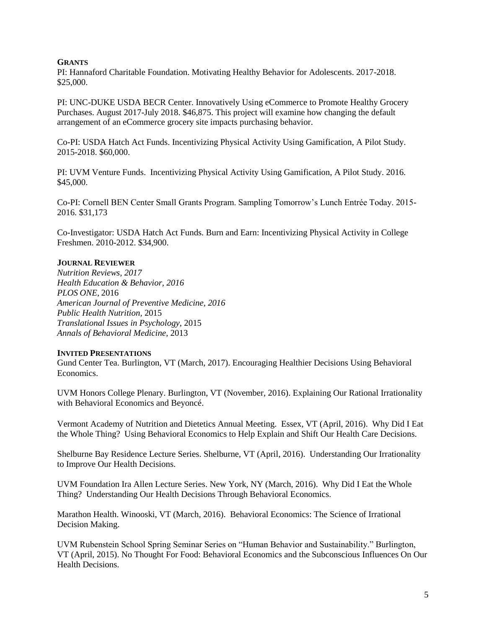#### **GRANTS**

PI: Hannaford Charitable Foundation. Motivating Healthy Behavior for Adolescents. 2017-2018. \$25,000.

PI: UNC-DUKE USDA BECR Center. Innovatively Using eCommerce to Promote Healthy Grocery Purchases. August 2017-July 2018. \$46,875. This project will examine how changing the default arrangement of an eCommerce grocery site impacts purchasing behavior.

Co-PI: USDA Hatch Act Funds. Incentivizing Physical Activity Using Gamification, A Pilot Study. 2015-2018. \$60,000.

PI: UVM Venture Funds. Incentivizing Physical Activity Using Gamification, A Pilot Study. 2016. \$45,000.

Co-PI: Cornell BEN Center Small Grants Program. Sampling Tomorrow's Lunch Entrée Today. 2015- 2016. \$31,173

Co-Investigator: USDA Hatch Act Funds. Burn and Earn: Incentivizing Physical Activity in College Freshmen. 2010-2012. \$34,900.

## **JOURNAL REVIEWER**

*Nutrition Reviews, 2017 Health Education & Behavior, 2016 PLOS ONE*, 2016 *American Journal of Preventive Medicine, 2016 Public Health Nutrition,* 2015 *Translational Issues in Psychology,* 2015 *Annals of Behavioral Medicine*, 2013

#### **INVITED PRESENTATIONS**

Gund Center Tea. Burlington, VT (March, 2017). Encouraging Healthier Decisions Using Behavioral Economics.

UVM Honors College Plenary. Burlington, VT (November, 2016). Explaining Our Rational Irrationality with Behavioral Economics and Beyoncé.

Vermont Academy of Nutrition and Dietetics Annual Meeting. Essex, VT (April, 2016). Why Did I Eat the Whole Thing? Using Behavioral Economics to Help Explain and Shift Our Health Care Decisions.

Shelburne Bay Residence Lecture Series. Shelburne, VT (April, 2016). Understanding Our Irrationality to Improve Our Health Decisions.

UVM Foundation Ira Allen Lecture Series. New York, NY (March, 2016). Why Did I Eat the Whole Thing? Understanding Our Health Decisions Through Behavioral Economics.

Marathon Health. Winooski, VT (March, 2016). Behavioral Economics: The Science of Irrational Decision Making.

UVM Rubenstein School Spring Seminar Series on "Human Behavior and Sustainability." Burlington, VT (April, 2015). No Thought For Food: Behavioral Economics and the Subconscious Influences On Our Health Decisions.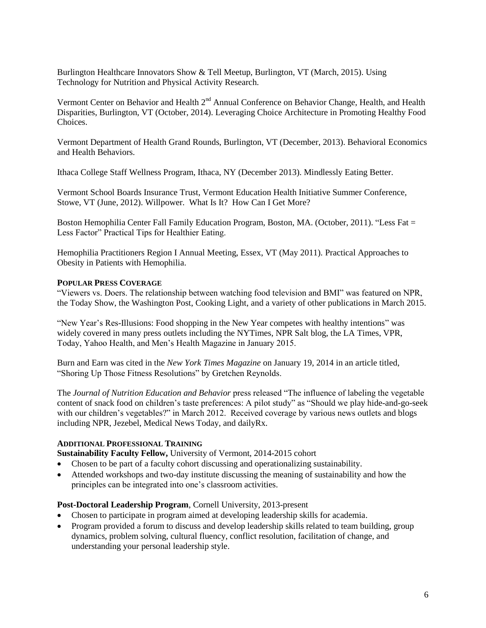Burlington Healthcare Innovators Show & Tell Meetup, Burlington, VT (March, 2015). Using Technology for Nutrition and Physical Activity Research.

Vermont Center on Behavior and Health 2<sup>nd</sup> Annual Conference on Behavior Change, Health, and Health Disparities, Burlington, VT (October, 2014). Leveraging Choice Architecture in Promoting Healthy Food Choices.

Vermont Department of Health Grand Rounds, Burlington, VT (December, 2013). Behavioral Economics and Health Behaviors.

Ithaca College Staff Wellness Program, Ithaca, NY (December 2013). Mindlessly Eating Better.

Vermont School Boards Insurance Trust, Vermont Education Health Initiative Summer Conference, Stowe, VT (June, 2012). Willpower. What Is It? How Can I Get More?

Boston Hemophilia Center Fall Family Education Program, Boston, MA. (October, 2011). "Less Fat = Less Factor" Practical Tips for Healthier Eating.

Hemophilia Practitioners Region I Annual Meeting, Essex, VT (May 2011). Practical Approaches to Obesity in Patients with Hemophilia.

#### **POPULAR PRESS COVERAGE**

"Viewers vs. Doers. The relationship between watching food television and BMI" was featured on NPR, the Today Show, the Washington Post, Cooking Light, and a variety of other publications in March 2015.

"New Year's Res-Illusions: Food shopping in the New Year competes with healthy intentions" was widely covered in many press outlets including the NYTimes, NPR Salt blog, the LA Times, VPR, Today, Yahoo Health, and Men's Health Magazine in January 2015.

Burn and Earn was cited in the *New York Times Magazine* on January 19, 2014 in an article titled, "Shoring Up Those Fitness Resolutions" by Gretchen Reynolds.

The *Journal of Nutrition Education and Behavior* press released "The influence of labeling the vegetable content of snack food on children's taste preferences: A pilot study" as "Should we play hide-and-go-seek with our children's vegetables?" in March 2012. Received coverage by various news outlets and blogs including NPR, Jezebel, Medical News Today, and dailyRx.

#### **ADDITIONAL PROFESSIONAL TRAINING**

**Sustainability Faculty Fellow,** University of Vermont, 2014-2015 cohort

- Chosen to be part of a faculty cohort discussing and operationalizing sustainability.
- Attended workshops and two-day institute discussing the meaning of sustainability and how the principles can be integrated into one's classroom activities.

#### **Post-Doctoral Leadership Program**, Cornell University, 2013-present

- Chosen to participate in program aimed at developing leadership skills for academia.
- Program provided a forum to discuss and develop leadership skills related to team building, group dynamics, problem solving, cultural fluency, conflict resolution, facilitation of change, and understanding your personal leadership style.